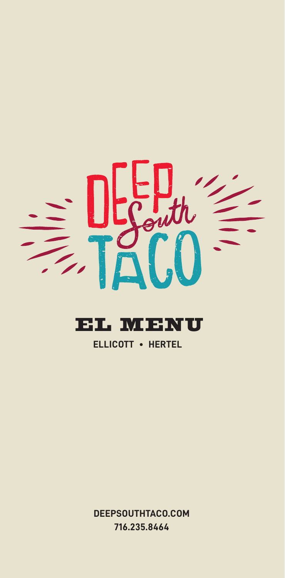

# EL MENU

# **ELLICOTT • HERTEL**

**DEEPSOUTHTACO.COM 716.235.8464**